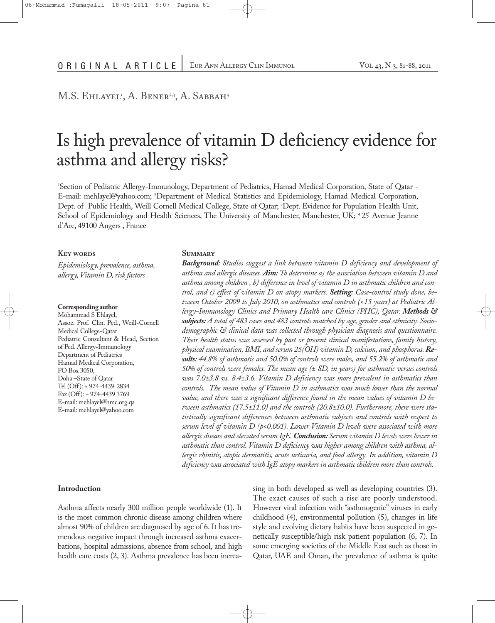# M.S. Ehlayel<sup>1</sup>, A. Bener<sup>2,3</sup>, A. Sabbah<sup>4</sup>

# Is high prevalence of vitamin D deficiency evidence for asthma and allergy risks?

1 Section of Pediatric Allergy-Immunology, Department of Pediatrics, Hamad Medical Corporation, State of Qatar - E-mail: mehlayel@yahoo.com; <sup>2</sup> Department of Medical Statistics and Epidemiology, Hamad Medical Corporation, Dept. of Public Health, Weill Cornell Medical College, State of Qatar; <sup>3</sup> Dept. Evidence for Population Health Unit, School of Epidemiology and Health Sciences, The University of Manchester, Manchester, UK; <sup>4</sup> 25 Avenue Jeanne d'Arc, 49100 Angers , France

#### **Key words**

*Epidemiology, prevalence, asthma, allergy,Vitamin D,risk factors*

#### **Corresponding author**

Mohammad S Ehlayel, Assoc. Prof. Clin. Ped., Weill-Cornell Medical College-Qatar Pediatric Consultant & Head, Section of Ped. Allergy-Immunology Department of Pediatrics Hamad Medical Corporation, PO Box 3050, Doha –State of Qatar Tel (Off): + 974-4439-2834 Fax (Off): + 974-4439 3769 E-mail: mehlayel@hmc.org.qa E-mail: mehlayel@yahoo.com

#### **Summary**

*Background: Studies suggest a link between vitamin D deficiency and development of asthma and allergic diseases. Aim: To determine a) the association between vitamin D and asthma among children , b) difference in level of vitamin D in asthmatic children and control, and c) effect of vitamin D on atopy markers. Setting: Case-control study done, between October 2009 to July 2010, on asthmatics and controls (<15 years) at Pediatric Allergy-Immunology Clinics and Primary Health care Clinics (PHC), Qatar. Methods & subjects: A total of 483 cases and 483 controls matched by age, gender and ethnicity. Sociodemographic & clinical data was collected through physician diagnosis and questionnaire. Their health status was assessed by past or present clinical manifestations, family history, physical examination, BMI, and serum 25(OH) vitamin D, calcium, and phosphorus. Results: 44.8% of asthmatic and 50.0% of controls were males, and 55.2% of asthmatic and 50% of controls were females. The mean age (± SD, in years) for asthmatic versus controls was 7.0±3.8 vs. 8.4±3.6. Vitamin D deficiency was more prevalent in asthmatics than controls. The mean value of Vitamin D in asthmatics was much lower than the normal value, and there was a significant difference found in the mean values of vitamin D between asthmatics (17.5±11.0) and the controls (20.8±10.0). Furthermore, there were statistically significant differences between asthmatic subjects and controls with respect to serum level of vitamin D (p<0.001). Lower Vitamin D levels were associated with more allergic disease and elevated serum IgE.Conclusion: Serum vitamin D levels were lower in asthmatic than control. Vitamin D deficiency was higher among children with asthma, allergic rhinitis, atopic dermatitis, acute urticaria, and food allergy. In addition, vitamin D deficiency was associated with IgE atopy markers in asthmatic children more than controls.*

# **Introduction**

Asthma affects nearly 300 million people worldwide (1). It is the most common chronic disease among children where almost 90% of children are diagnosed by age of 6. It has tremendous negative impact through increased asthma exacerbations, hospital admissions, absence from school, and high health care costs (2, 3). Asthma prevalence has been increasing in both developed as well as developing countries (3). The exact causes of such a rise are poorly understood. However viral infection with "asthmogenic" viruses in early childhood (4), environmental pollution (5), changes in life style and evolving dietary habits have been suspected in genetically susceptible/high risk patient population (6, 7). In some emerging societies of the Middle East such as those in Qatar, UAE and Oman, the prevalence of asthma is quite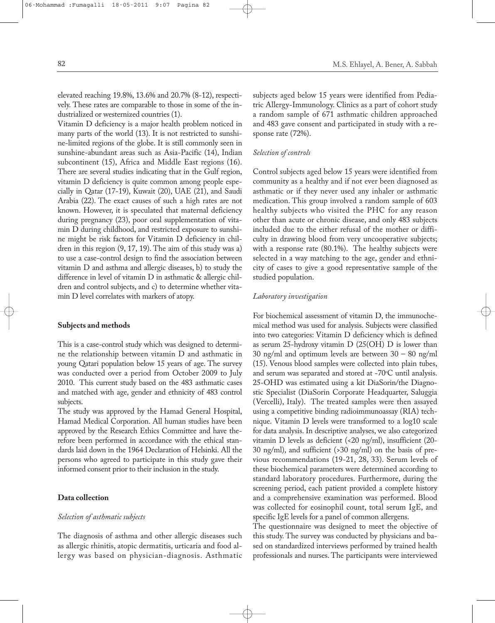elevated reaching 19.8%, 13.6% and 20.7% (8-12), respectively. These rates are comparable to those in some of the industrialized or westernized countries (1).

Vitamin D deficiency is a major health problem noticed in many parts of the world (13). It is not restricted to sunshine-limited regions of the globe. It is still commonly seen in sunshine-abundant areas such as Asia-Pacific (14), Indian subcontinent (15), Africa and Middle East regions (16). There are several studies indicating that in the Gulf region, vitamin D deficiency is quite common among people especially in Qatar (17-19), Kuwait (20), UAE (21), and Saudi Arabia (22). The exact causes of such a high rates are not known. However, it is speculated that maternal deficiency during pregnancy (23), poor oral supplementation of vitamin D during childhood, and restricted exposure to sunshine might be risk factors for Vitamin D deficiency in children in this region (9, 17, 19). The aim of this study was a) to use a case-control design to find the association between vitamin D and asthma and allergic diseases, b) to study the difference in level of vitamin D in asthmatic & allergic children and control subjects, and c) to determine whether vitamin D level correlates with markers of atopy.

### **Subjects and methods**

This is a case-control study which was designed to determine the relationship between vitamin D and asthmatic in young Qatari population below 15 years of age. The survey was conducted over a period from October 2009 to July 2010. This current study based on the 483 asthmatic cases and matched with age, gender and ethnicity of 483 control subjects.

The study was approved by the Hamad General Hospital, Hamad Medical Corporation. All human studies have been approved by the Research Ethics Committee and have therefore been performed in accordance with the ethical standards laid down in the 1964 Declaration of Helsinki. All the persons who agreed to participate in this study gave their informed consent prior to their inclusion in the study.

# **Data collection**

#### *Selection of asthmatic subjects*

The diagnosis of asthma and other allergic diseases such as allergic rhinitis, atopic dermatitis, urticaria and food allergy was based on physician-diagnosis. Asthmatic subjects aged below 15 years were identified from Pediatric Allergy-Immunology. Clinics as a part of cohort study a random sample of 671 asthmatic children approached and 483 gave consent and participated in study with a response rate (72%).

# *Selection of controls*

Control subjects aged below 15 years were identified from community as a healthy and if not ever been diagnosed as asthmatic or if they never used any inhaler or asthmatic medication. This group involved a random sample of 603 healthy subjects who visited the PHC for any reason other than acute or chronic disease, and only 483 subjects included due to the either refusal of the mother or difficulty in drawing blood from very uncooperative subjects; with a response rate (80.1%). The healthy subjects were selected in a way matching to the age, gender and ethnicity of cases to give a good representative sample of the studied population.

# *Laboratory investigation*

For biochemical assessment of vitamin D, the immunochemical method was used for analysis. Subjects were classified into two categories: Vitamin D deficiency which is defined as serum 25-hydroxy vitamin D (25(OH) D is lower than 30 ng/ml and optimum levels are between 30 – 80 ng/ml (15). Venous blood samples were collected into plain tubes, and serum was separated and stored at -70°C until analysis. 25-OHD was estimated using a kit DiaSorin/the Diagnostic Specialist (DiaSorin Corporate Headquarter, Saluggia (Vercelli), Italy). The treated samples were then assayed using a competitive binding radioimmunoassay (RIA) technique. Vitamin D levels were transformed to a log10 scale for data analysis. In descriptive analyses, we also categorized vitamin D levels as deficient (<20 ng/ml), insufficient (20- 30 ng/ml), and sufficient (>30 ng/ml) on the basis of previous recommendations (19-21, 28, 33). Serum levels of these biochemical parameters were determined according to standard laboratory procedures. Furthermore, during the screening period, each patient provided a complete history and a comprehensive examination was performed. Blood was collected for eosinophil count, total serum IgE, and specific IgE levels for a panel of common allergens.

The questionnaire was designed to meet the objective of this study. The survey was conducted by physicians and based on standardized interviews performed by trained health professionals and nurses.The participants were interviewed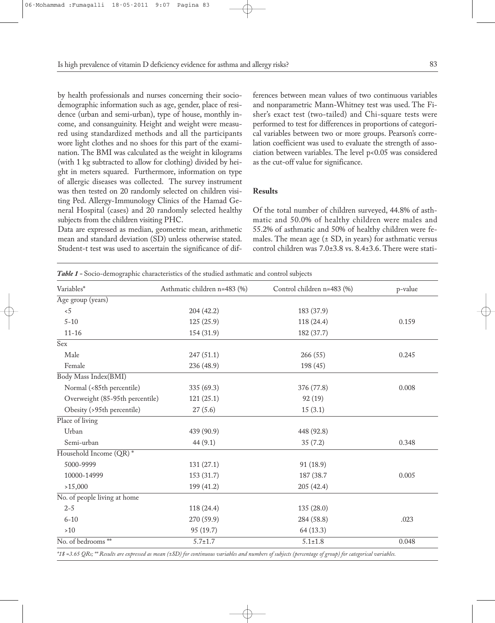by health professionals and nurses concerning their sociodemographic information such as age, gender, place of residence (urban and semi-urban), type of house, monthly income, and consanguinity. Height and weight were measured using standardized methods and all the participants wore light clothes and no shoes for this part of the examination. The BMI was calculated as the weight in kilograms (with 1 kg subtracted to allow for clothing) divided by height in meters squared. Furthermore, information on type of allergic diseases was collected. The survey instrument was then tested on 20 randomly selected on children visiting Ped. Allergy-Immunology Clinics of the Hamad General Hospital (cases) and 20 randomly selected healthy subjects from the children visiting PHC.

Data are expressed as median, geometric mean, arithmetic mean and standard deviation (SD) unless otherwise stated. Student-t test was used to ascertain the significance of dif-

*Table 1 -* Socio-demographic characteristics of the studied asthmatic and control subjects

ferences between mean values of two continuous variables and nonparametric Mann-Whitney test was used. The Fisher's exact test (two-tailed) and Chi-square tests were performed to test for differences in proportions of categorical variables between two or more groups. Pearson's correlation coefficient was used to evaluate the strength of association between variables. The level p<0.05 was considered as the cut-off value for significance.

# **Results**

Of the total number of children surveyed, 44.8% of asthmatic and 50.0% of healthy children were males and 55.2% of asthmatic and 50% of healthy children were females. The mean age  $(\pm SD)$ , in years) for asthmatic versus control children was 7.0±3.8 vs. 8.4±3.6. There were stati-

| Variables*                      | Asthmatic children n=483 (%) | Control children n=483 (%) | p-value |  |
|---------------------------------|------------------------------|----------------------------|---------|--|
| Age group (years)               |                              |                            |         |  |
| 5                               | 204 (42.2)                   | 183 (37.9)                 |         |  |
| $5 - 10$                        | 125(25.9)                    | 118 (24.4)                 | 0.159   |  |
| $11 - 16$                       | 154 (31.9)                   | 182 (37.7)                 |         |  |
| Sex                             |                              |                            |         |  |
| Male                            | 247(51.1)                    | 266(55)                    | 0.245   |  |
| Female                          | 236 (48.9)                   | 198 (45)                   |         |  |
| Body Mass Index(BMI)            |                              |                            |         |  |
| Normal (<85th percentile)       | 335 (69.3)                   | 376 (77.8)                 | 0.008   |  |
| Overweight (85-95th percentile) | 121(25.1)                    | 92(19)                     |         |  |
| Obesity (>95th percentile)      | 27(5.6)                      | 15(3.1)                    |         |  |
| Place of living                 |                              |                            |         |  |
| Urban                           | 439 (90.9)                   | 448 (92.8)                 |         |  |
| Semi-urban                      | 44(9.1)                      | 35(7.2)                    | 0.348   |  |
| Household Income (QR)*          |                              |                            |         |  |
| 5000-9999                       | 131(27.1)                    | 91 (18.9)                  |         |  |
| 10000-14999                     | 153 (31.7)                   | 187 (38.7                  | 0.005   |  |
| >15,000                         | 199 (41.2)                   | 205(42.4)                  |         |  |
| No. of people living at home    |                              |                            |         |  |
| $2 - 5$                         | 118 (24.4)                   | 135 (28.0)                 |         |  |
| $6 - 10$                        | 270 (59.9)                   | 284 (58.8)                 | .023    |  |
| $>10$                           | 95 (19.7)                    | 64(13.3)                   |         |  |
| No. of bedrooms**               | $5.7 \pm 1.7$                | $5.1 \pm 1.8$              | 0.048   |  |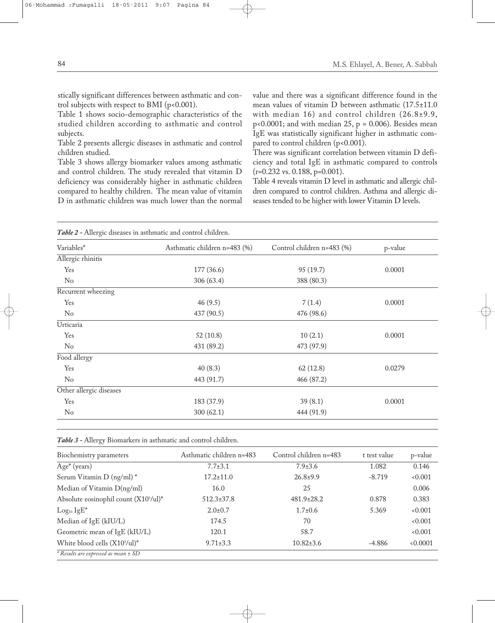stically significant differences between asthmatic and control subjects with respect to BMI (p<0.001).

Table 1 shows socio-demographic characteristics of the studied children according to asthmatic and control subjects.

Table 2 presents allergic diseases in asthmatic and control children studied.

Table 3 shows allergy biomarker values among asthmatic and control children. The study revealed that vitamin D deficiency was considerably higher in asthmatic children compared to healthy children. The mean value of vitamin D in asthmatic children was much lower than the normal value and there was a significant difference found in the mean values of vitamin D between asthmatic (17.5±11.0 with median 16) and control children (26.8±9.9,  $p<0.0001$ ; and with median 25,  $p = 0.006$ ). Besides mean IgE was statistically significant higher in asthmatic compared to control children (p<0.001).

There was significant correlation between vitamin D deficiency and total IgE in asthmatic compared to controls (r=0.232 vs. 0.188, p=0.001).

Table 4 reveals vitamin D level in asthmatic and allergic children compared to control children. Asthma and allergic diseases tended to be higher with lower Vitamin D levels.

| Table 2 - Allergic diseases in asthmatic and control children. |                              |                            |         |  |
|----------------------------------------------------------------|------------------------------|----------------------------|---------|--|
| Variables*                                                     | Asthmatic children n=483 (%) | Control children n=483 (%) | p-value |  |
| Allergic rhinitis                                              |                              |                            |         |  |
| Yes                                                            | 177 (36.6)                   | 95(19.7)                   | 0.0001  |  |
| No                                                             | 306 (63.4)                   | 388 (80.3)                 |         |  |
| Recurrent wheezing                                             |                              |                            |         |  |
| Yes                                                            | 46(9.5)                      | 7(1.4)                     | 0.0001  |  |
| $\rm No$                                                       | 437 (90.5)                   | 476 (98.6)                 |         |  |
| Urticaria                                                      |                              |                            |         |  |
| Yes                                                            | 52(10.8)                     | 10(2.1)                    | 0.0001  |  |
| $\rm No$                                                       | 431 (89.2)                   | 473 (97.9)                 |         |  |
| Food allergy                                                   |                              |                            |         |  |
| Yes                                                            | 40(8.3)                      | 62(12.8)                   | 0.0279  |  |
| No                                                             | 443 (91.7)                   | 466 (87.2)                 |         |  |
| Other allergic diseases                                        |                              |                            |         |  |
| Yes                                                            | 183 (37.9)                   | 39(8.1)                    | 0.0001  |  |
| No                                                             | 300(62.1)                    | 444 (91.9)                 |         |  |

| Biochemistry parameters                           | Asthmatic children n=483 | Control children n=483 | t test value | p-value |
|---------------------------------------------------|--------------------------|------------------------|--------------|---------|
| $Age^*(years)$                                    | $7.7 \pm 3.1$            | $7.9 \pm 3.6$          | 1.082        | 0.146   |
| Serum Vitamin D (ng/ml)*                          | $17.2 \pm 11.0$          | $26.8+9.9$             | $-8.719$     | 0.001   |
| Median of Vitamin D(ng/ml)                        | 16.0                     | 25                     |              | 0.006   |
| Absolute eosinophil count (X10 <sup>3</sup> /ul)* | $512.3 \pm 37.8$         | $481.9 \pm 28.2$       | 0.878        | 0.383   |
| $Log_{10} IgE^*$                                  | $2.0 \pm 0.7$            | $1.7 \pm 0.6$          | 5.369        | 0.001   |
| Median of IgE (kIU/L)                             | 174.5                    | 70                     |              | 0.001   |
| Geometric mean of IgE (kIU/L)                     | 120.1                    | 58.7                   |              | 0.001   |
| White blood cells (X10 <sup>3</sup> /ul)*         | $9.71 \pm 3.3$           | $10.82 \pm 3.6$        | -4.886       | 0.0001  |
| $*$ Results are expressed as mean $\pm$ SD        |                          |                        |              |         |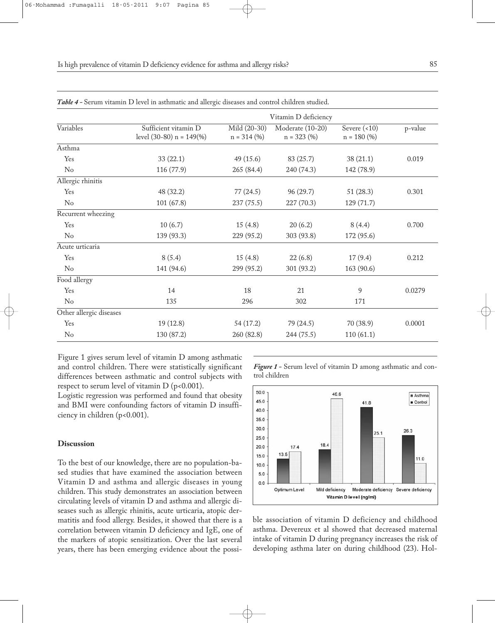| Variables               | Vitamin D deficiency                              |                               |                                   |                                  |         |  |
|-------------------------|---------------------------------------------------|-------------------------------|-----------------------------------|----------------------------------|---------|--|
|                         | Sufficient vitamin D<br>level (30-80) $n = 149\%$ | Mild (20-30)<br>$n = 314 (%)$ | Moderate (10-20)<br>$n = 323 (%)$ | Severe $($ <10)<br>$n = 180$ (%) | p-value |  |
| Asthma                  |                                                   |                               |                                   |                                  |         |  |
| Yes                     | 33(22.1)                                          | 49(15.6)                      | 83(25.7)                          | 38(21.1)                         | 0.019   |  |
| No                      | 116 (77.9)                                        | 265 (84.4)                    | 240 (74.3)                        | 142 (78.9)                       |         |  |
| Allergic rhinitis       |                                                   |                               |                                   |                                  |         |  |
| Yes                     | 48 (32.2)                                         | 77(24.5)                      | 96(29.7)                          | 51(28.3)                         | 0.301   |  |
| No                      | 101(67.8)                                         | 237 (75.5)                    | 227 (70.3)                        | 129 (71.7)                       |         |  |
| Recurrent wheezing      |                                                   |                               |                                   |                                  |         |  |
| Yes                     | 10(6.7)                                           | 15(4.8)                       | 20(6.2)                           | 8(4.4)                           | 0.700   |  |
| No                      | 139 (93.3)                                        | 229 (95.2)                    | 303 (93.8)                        | 172 (95.6)                       |         |  |
| Acute urticaria         |                                                   |                               |                                   |                                  |         |  |
| Yes                     | 8(5.4)                                            | 15(4.8)                       | 22(6.8)                           | 17(9.4)                          | 0.212   |  |
| $\rm No$                | 141 (94.6)                                        | 299 (95.2)                    | 301 (93.2)                        | 163 (90.6)                       |         |  |
| Food allergy            |                                                   |                               |                                   |                                  |         |  |
| Yes                     | 14                                                | 18                            | 21                                | 9                                | 0.0279  |  |
| No                      | 135                                               | 296                           | 302                               | 171                              |         |  |
| Other allergic diseases |                                                   |                               |                                   |                                  |         |  |
| Yes                     | 19(12.8)                                          | 54 (17.2)                     | 79 (24.5)                         | 70 (38.9)                        | 0.0001  |  |
| No                      | 130 (87.2)                                        | 260 (82.8)                    | 244 (75.5)                        | 110(61.1)                        |         |  |
|                         |                                                   |                               |                                   |                                  |         |  |

*Table 4 -* Serum vitamin D level in asthmatic and allergic diseases and control children studied.

Figure 1 gives serum level of vitamin D among asthmatic and control children. There were statistically significant differences between asthmatic and control subjects with respect to serum level of vitamin  $D$  ( $p$ <0.001).

Logistic regression was performed and found that obesity and BMI were confounding factors of vitamin D insufficiency in children (p<0.001).

#### **Discussion**

To the best of our knowledge, there are no population-based studies that have examined the association between Vitamin D and asthma and allergic diseases in young children. This study demonstrates an association between circulating levels of vitamin D and asthma and allergic diseases such as allergic rhinitis, acute urticaria, atopic dermatitis and food allergy. Besides, it showed that there is a correlation between vitamin D deficiency and IgE, one of the markers of atopic sensitization. Over the last several years, there has been emerging evidence about the possi*Figure 1 -* Serum level of vitamin D among asthmatic and control children



ble association of vitamin D deficiency and childhood asthma. Devereux et al showed that decreased maternal intake of vitamin D during pregnancy increases the risk of developing asthma later on during childhood (23). Hol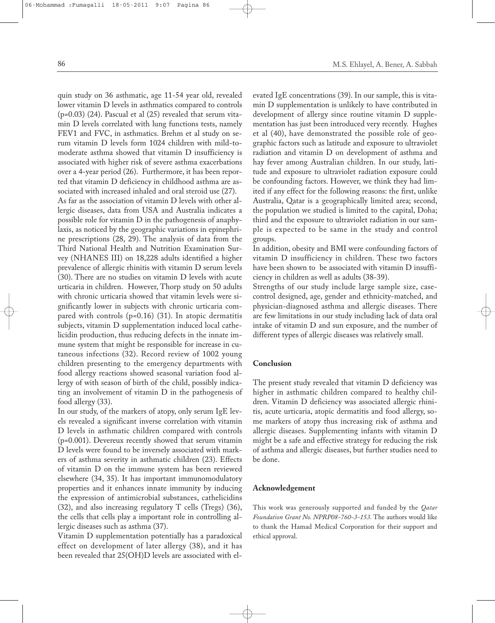quin study on 36 asthmatic, age 11-54 year old, revealed lower vitamin D levels in asthmatics compared to controls (p=0.03) (24). Pascual et al (25) revealed that serum vitamin D levels correlated with lung functions tests, namely FEV1 and FVC, in asthmatics. Brehm et al study on serum vitamin D levels form 1024 children with mild-tomoderate asthma showed that vitamin D insufficiency is associated with higher risk of severe asthma exacerbations over a 4-year period (26). Furthermore, it has been reported that vitamin D deficiency in childhood asthma are associated with increased inhaled and oral steroid use (27).

As far as the association of vitamin D levels with other allergic diseases, data from USA and Australia indicates a possible role for vitamin D in the pathogenesis of anaphylaxis, as noticed by the geographic variations in epinephrine prescriptions (28, 29). The analysis of data from the Third National Health and Nutrition Examination Survey (NHANES III) on 18,228 adults identified a higher prevalence of allergic rhinitis with vitamin D serum levels (30). There are no studies on vitamin D levels with acute urticaria in children. However, Thorp study on 50 adults with chronic urticaria showed that vitamin levels were significantly lower in subjects with chronic urticaria compared with controls (p=0.16) (31). In atopic dermatitis subjects, vitamin D supplementation induced local cathelicidin production, thus reducing defects in the innate immune system that might be responsible for increase in cutaneous infections (32). Record review of 1002 young children presenting to the emergency departments with food allergy reactions showed seasonal variation food allergy of with season of birth of the child, possibly indicating an involvement of vitamin D in the pathogenesis of food allergy (33).

In our study, of the markers of atopy, only serum IgE levels revealed a significant inverse correlation with vitamin D levels in asthmatic children compared with controls (p=0.001). Devereux recently showed that serum vitamin D levels were found to be inversely associated with markers of asthma severity in asthmatic children (23). Effects of vitamin D on the immune system has been reviewed elsewhere (34, 35). It has important immunomodulatory properties and it enhances innate immunity by inducing the expression of antimicrobial substances, cathelicidins (32), and also increasing regulatory T cells (Tregs) (36), the cells that cells play a important role in controlling allergic diseases such as asthma (37).

Vitamin D supplementation potentially has a paradoxical effect on development of later allergy (38), and it has been revealed that 25(OH)D levels are associated with elevated IgE concentrations (39). In our sample, this is vitamin D supplementation is unlikely to have contributed in development of allergy since routine vitamin D supplementation has just been introduced very recently. Hughes et al (40), have demonstrated the possible role of geographic factors such as latitude and exposure to ultraviolet radiation and vitamin D on development of asthma and hay fever among Australian children. In our study, latitude and exposure to ultraviolet radiation exposure could be confounding factors. However, we think they had limited if any effect for the following reasons: the first, unlike Australia, Qatar is a geographically limited area; second, the population we studied is limited to the capital, Doha; third and the exposure to ultraviolet radiation in our sample is expected to be same in the study and control groups.

In addition, obesity and BMI were confounding factors of vitamin D insufficiency in children. These two factors have been shown to be associated with vitamin D insufficiency in children as well as adults (38-39).

Strengths of our study include large sample size, casecontrol designed, age, gender and ethnicity-matched, and physician-diagnosed asthma and allergic diseases. There are few limitations in our study including lack of data oral intake of vitamin D and sun exposure, and the number of different types of allergic diseases was relatively small.

#### **Conclusion**

The present study revealed that vitamin D deficiency was higher in asthmatic children compared to healthy children. Vitamin D deficiency was associated allergic rhinitis, acute urticaria, atopic dermatitis and food allergy, some markers of atopy thus increasing risk of asthma and allergic diseases. Supplementing infants with vitamin D might be a safe and effective strategy for reducing the risk of asthma and allergic diseases, but further studies need to be done.

# **Acknowledgement**

This work was generously supported and funded by the *Qatar Foundation Grant No. NPRP08-760-3-153.* The authors would like to thank the Hamad Medical Corporation for their support and ethical approval.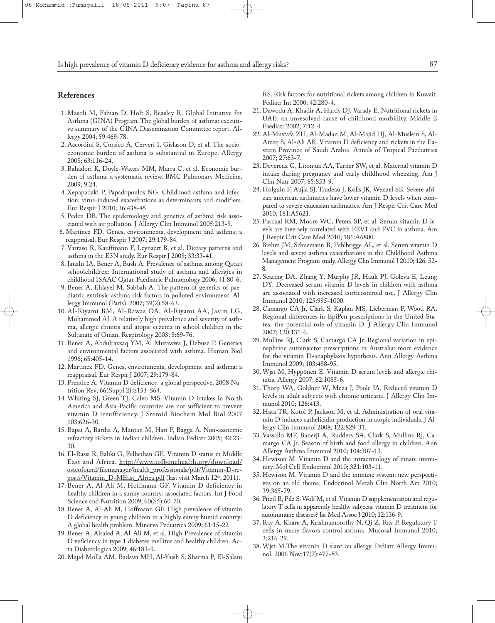# **References**

- 1. Masoli M, Fabian D, Holt S, Beasley R. Global Initiative for Asthma (GINA) Program. The global burden of asthma: executive summary of the GINA Dissemination Committee report. Allergy 2004; 59:469-78.
- 2. Accordini S, Corsico A, Cerveri I, Gislason D, et al. The socioeconomic burden of asthma is substantial in Europe. Allergy 2008; 63:116-24.
- 3. Bahadori K, Doyle-Waters MM, Marra C, et al. Economic burden of asthma: a systematic review. BMC Pulmonary Medicine, 2009; 9:24.
- 4. Xepapadaki P, Papadopoulos NG. Childhood asthma and infection: virus-induced exacerbations as determinants and modifiers. Eur Respir J 2010; 36:438-45.
- 5. Peden DB. The epidemiology and genetics of asthma risk associated with air pollution. J Allergy Clin Immunol 2005:213-9.
- 6. Martinez FD. Genes, environments, development and asthma: a reappraisal. Eur Respir J 2007; 29:179-84.
- 7. Varraso R, Kauffmann F, Leynaert B, et al. Dietary patterns and asthma in the E3N study. Eur Respir J 2009; 33:33-41.
- 8. Janahi IA, Bener A, Bush A. Prevalence of asthma among Qatari schoolchildren: International study of asthma and allergies in childhood ISAAC Qatar. Paediatric Pulmonology 2006; 41:80-6.
- 9. Bener A, Ehlayel M, Sabbah A. The pattern of genetics of paediatric extrinsic asthma risk factors in polluted environment. Allergy Immunol (Paris). 2007; 39(2):58-63.
- 10. Al-Riyami BM, Al-Rawas OA, Al-Riyami AA, Jasim LG, Mohammed AJ. A relatively high prevalence and severity of asthma, allergic rhinitis and atopic eczema in school children in the Sultanate of Oman. Respirology 2003; 8:69-76.
- 11. Bener A, Abdulrazzaq YM, Al Mutawwa J, Debuse P. Genetics and environmental factors associated with asthma. Human Biol 1996; 68:405-14.
- 12. Martinez FD. Genes, environments, development and asthma: a reappraisal. Eur Respir J 2007; 29:179-84.
- 13. Prentice A. Vitamin D deficiency: a global perspective. 2008 Nutrition Rev; 66(Suppl 2):S153-S64.
- 14. Whiting SJ, Green TJ, Calvo MS. Vitamin D intakes in North America and Asia-Pacific countries are not sufficient to prevent vitamin D insufficiency. J Steroid Biochem Mol Biol 2007 103:626-30.
- 15. Bapai A, Bardia A, Mantan M, Hari P, Bagga A. Non-azotemic refractory rickets in Indian children. Indian Pediatr 2005; 42:23- 30.
- 16. El-Rassi R, Baliki G, Fulheihan GE. Vitamin D status in Middle East and Africa. http://www.iofbonehealth.org/download/ osteofound/filemanager/health\_professionals/pdf/Vitamin-D-reports/Vitamin\_D-MEast\_Africa.pdf (last visit March 12<sup>th</sup>, 2011).
- 17. Bener A, Al-Ali M, Hoffmann GF. Vitamin D deficiency in healthy children in a sunny country: associated factors. Int J Food Science and Nutrition 2009; 60(S5):60-70.
- 18. Bener A, Al-Ali M, Hoffmann GF. High prevalence of vitamin D deficiency in young children in a highly sunny humid country: A global health problem. Minerva Pediatrica 2009; 61:15-22
- 19. Bener A, Alsaied A, Al-Ali M, et al. High Prevalence of vitamin D veficiency in type 1 diabetes mellitus and healthy children. Acta Diabetologica 2009; 46:183-9.
- 20. Majid Molla AM, Badawi MH, Al-Yaish S, Sharma P, El-Salam

RS. Risk factors for nutritional rickets among children in Kuwait. Pediatr Int 2000; 42:280-4.

- 21. Dawodu A, Khadir A, Hardy DJ, Varady E. Nutritional rickets in UAE: an unresolved cause of childhood morbidity. Middle E Paediatr 2002; 7:12-4.
- 22. Al-Mustafa ZH, Al-Madan M, Al-Majid HJ, Al-Muslem S, Al-Ateeq S, Al-Ali AK. Vitamin D deficiency and rickets in the Eastern Province of Saudi Arabia. Annals of Tropical Paediatrics 2007; 27:63-7.
- 23. Devereux G, Litonjua AA, Turner SW, et al. Maternal vitamin D intake during pregnancy and early childhood wheezing. Am J Clin Nutr 2007; 85:853-9.
- 24. Holguin F, Aujla SJ, Trudeau J, Kolls JK, Wenzel SE. Severe african american asthmatics have lower vitamin D levels when compared to severe caucasian asthmatics. Am J Respir Crit Care Med 2010; 181:A5621.
- 25. Pascual RM, Moore WC, Peters SP, et al. Serum vitamin D levels are inversely correlated with FEV1 and FVC in asthma. Am J Respir Crit Care Med 2010; 181:A6800.
- 26.Brehm JM, Schuemann B, Fuhlbrigge AL, et al. Serum vitamin D levels and severe asthma exacerbations in the Childhood Asthma Management Program study. Allergy Clin Immunol J 2010; 126: 52- 8.
- 27. Searing DA, Zhang Y, Murphy JR, Hauk PJ, Goleva E, Leung DY. Decreased serum vitamin D levels in children with asthma are associated with increased corticosteroid use. J Allergy Clin Immunol 2010; 125:995-1000.
- 28. Camargo CA Jr, Clark S, Kaplan MS, Lieberman P, Wood RA. Regional differences in EpiPen prescriptions in the United States: the potential role of vitamin D. J Allergy Clin Immunol 2007; 120:131-6.
- 29. Mullins RJ, Clark S, Camargo CA Jr. Regional variation in epinephrine autoinjector prescriptions in Australia: more evidence for the vitamin D-anaphylaxis hypothesis. Ann Allergy Asthma Immunol 2009; 103:488-95.
- 30. Wjst M, Hyppönen E. Vitamin D serum levels and allergic rhinitis. Allergy 2007; 62:1085-6.
- 31. Thorp WA, Goldner W, Meza J, Poole JA. Reduced vitamin D levels in adult subjects with chronic urticaria. J Allergy Clin Immunol 2010; 126:413.
- 32. Hata TR, Kotol P, Jackson M, et al. Administration of oral vitamin D induces cathelicidin production in atopic individuals. J Allergy Clin Immunol 2008; 122:829-31.
- 33. Vassallo MF, Banerji A, Rudders SA, Clark S, Mullins RJ, Camargo CA Jr. Season of birth and food allergy in children. Ann Allergy Asthma Immunol 2010; 104:307-13.
- 34. Hewison M. Vitamin D and the intracrinology of innate immunity. Mol Cell Endocrinol 2010; 321:103-11.
- 35. Hewison M. Vitamin D and the immune system: new perspectives on an old theme. Endocrinol Metab Clin North Am 2010; 39:365-79.
- 36. Prietl B, Pilz S,Wolf M, et al. Vitamin D supplementation and regulatory T cells in apparently healthy subjects: vitamin D treatment for autoimmune diseases? Isr Med Assoc J 2010; 12:136-9.
- 37. Ray A, Khare A, Krishnamoorthy N, Qi Z, Ray P. Regulatory T cells in many flavors control asthma. Mucosal Immunol 2010; 3:216-29.
- 38. Wjst M.The vitamin D slant on allergy. Pediatr Allergy Immunol. 2006 Nov;17(7):477-83.